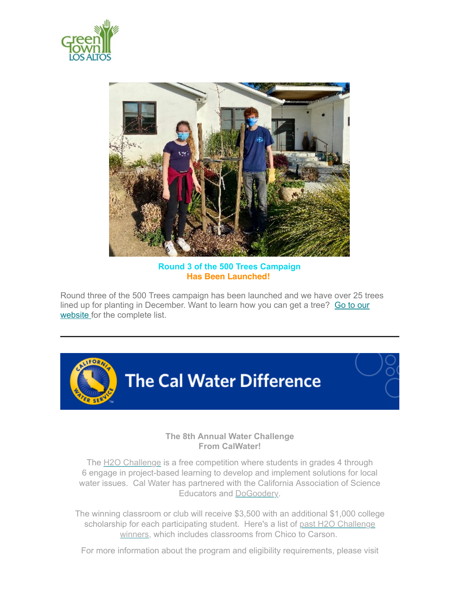



**Round 3 of the 500 Trees Campaign Has Been Launched!** 

Round three of the 500 Trees campaign has been launched and we have over 25 trees [lined up for planting in December. Want to learn how you can get a tree? Go to our](https://www.greentownlosaltos.org/500-trees) website for the complete list.



# **The 8th Annual Water Challenge From CalWater!**

The [H2O Challenge](https://url.avanan.click/v2/___http://link.quorum.us/f/a/G5zVQQhoeFTyLxJ4r8WzFA~~/AACYXwA~/RgRjep-KP0QfaHR0cHM6Ly9jaGFsbGVuZ2UuY2Fsd2F0ZXIuY29tL1cDc3BjQgphjooamGGtgWGpUhZuZmxpZ29yQGxvc2FsdG9zY2EuZ292WAQAAAAA___.YXAzOmxvc2FsdG9zY2E6YTpvOjkwNzA2Mjg0MzE1MDU1MGExYjc3YmRjZmYxYzY4ZjViOjU6MjFlMjo2NTE1MmQ3NzhiMzI3YzBiZDYzMjg5ODI1MTQyMzA0ZTgwMjIxMjI0MTIzZWE3NTgxMjU1OTBkNTQ0NDllZjczOmg) is a free competition where students in grades 4 through 6 engage in project-based learning to develop and implement solutions for local water issues. Cal Water has partnered with the California Association of Science Educators and [DoGoodery.](https://dothegoodery.com/)

The winning classroom or club will receive \$3,500 with an additional \$1,000 college scholars[hip for each participating student. Here's a list of past H2O Challenge](https://url.avanan.click/v2/___http://link.quorum.us/f/a/LZvkPKu6tqEtzftDmlHyYQ~~/AACYXwA~/RgRjep-KP0Q_aHR0cHM6Ly9jaGFsbGVuZ2UuY2Fsd2F0ZXIuY29tL2NsYXNzcm9vbS1jaGFsbGVuZ2Uvd2lubmVycy8yMDIxVwNzcGNCCmGOihqYYa2BYalSFm5mbGlnb3JAbG9zYWx0b3NjYS5nb3ZYBAAAAAA~___.YXAzOmxvc2FsdG9zY2E6YTpvOjkwNzA2Mjg0MzE1MDU1MGExYjc3YmRjZmYxYzY4ZjViOjU6MGE0NTozZDQ3ZGMyNWY1ZGMzMGY5YjI0MjNjYjBjNWVlNzkzYTg2MjkxZGNjNGZmOTE1ZjFkNjI1NzU1YjZhYWZkZjkzOmg) winners, which includes classrooms from Chico to Carson.

For more information about the program and eligibility requirements, please visit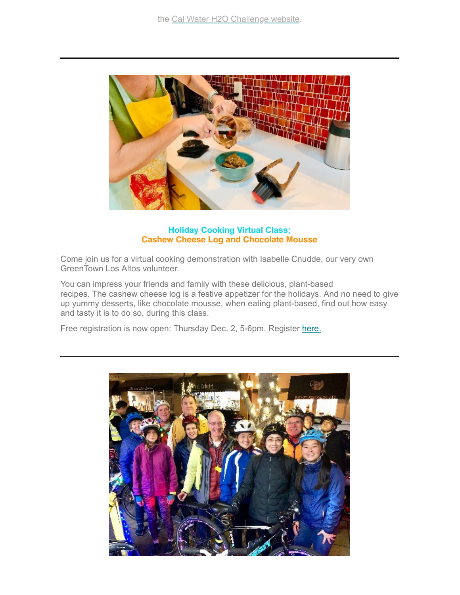

### **Holiday Cooking Virtual Class; Cashew Cheese Log and Chocolate Mousse**

Come join us for a virtual cooking demonstration with Isabelle Cnudde, our very own GreenTown Los Altos volunteer.

You can impress your friends and family with these delicious, plant-based recipes. The cashew cheese log is a festive appetizer for the holidays. And no need to give up yummy desserts, like chocolate mousse, when eating plant-based, find out how easy and tasty it is to do so, during this class.

Free registration is now open: Thursday Dec. 2, 5-6pm. Register [here.](https://losgatosca.libcal.com/event/8551435)

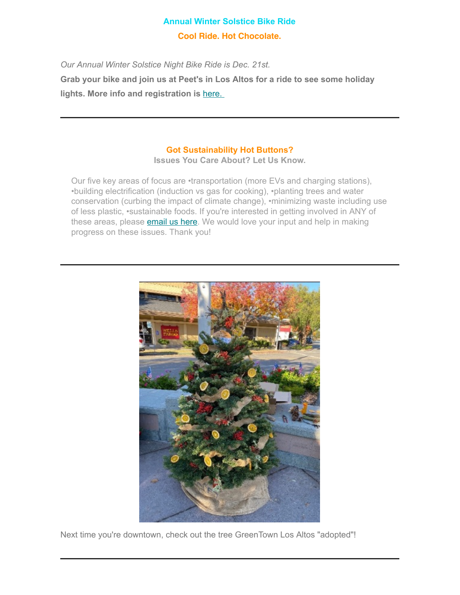# **Annual Winter Solstice Bike Ride Cool Ride. Hot Chocolate.**

*Our Annual Winter Solstice Night Bike Ride is Dec. 21st.*

**Grab your bike and join us at Peet's in Los Altos for a ride to see some holiday lights. More info and registration is** [here.](https://www.eventbrite.com/e/winter-solstice-night-bike-ride-tickets-218407682257?aff=ebdssbdestsearch) 

# **Got Sustainability Hot Buttons?**

**Issues You Care About? Let Us Know.**

Our five key areas of focus are •transportation (more EVs and charging stations), •building electrification (induction vs gas for cooking), •planting trees and water conservation (curbing the impact of climate change), •minimizing waste including use of less plastic, •sustainable foods. If you're interested in getting involved in ANY of these areas, please **email us here**. We would love your input and help in making progress on these issues. Thank you!



Next time you're downtown, check out the tree GreenTown Los Altos "adopted"!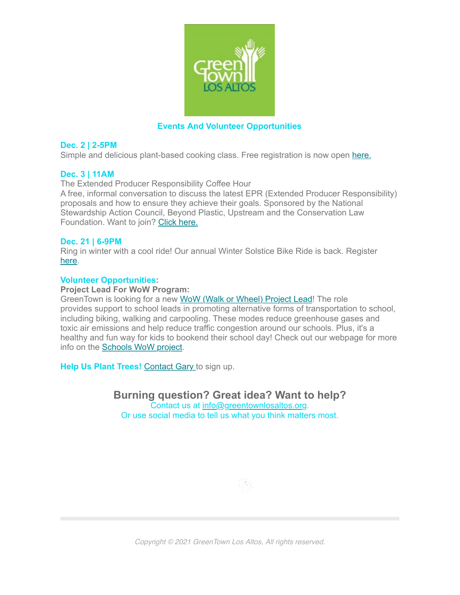

## **Events And Volunteer Opportunities**

#### **Dec. 2 | 2-5PM**

Simple and delicious plant-based cooking class. Free registration is now open [here.](https://losgatosca.libcal.com/event/8551435)

#### **Dec. 3 | 11AM**

The Extended Producer Responsibility Coffee Hour

A free, informal conversation to discuss the latest EPR (Extended Producer Responsibility) proposals and how to ensure they achieve their goals. Sponsored by the National Stewardship Action Council, Beyond Plastic, Upstream and the Conservation Law Foundation. Want to join? [Click here.](https://www.beyondplastics.org/events/epr-coffee-hour-december)

#### **Dec. 21 | 6-9PM**

Ring in winter with a cool ride! Our annual Winter Solstice Bike Ride is back. Register [here.](https://www.eventbrite.com/e/winter-solstice-night-bike-ride-tickets-218407682257?aff=ebdssbdestsearch)

#### **Volunteer Opportunities:**

#### **Project Lead For WoW Program:**

GreenTown is looking for a new [WoW \(Walk or Wheel\) Project Lead!](https://www.greentownlosaltos.org/vounteer-intern) The role provides support to school leads in promoting alternative forms of transportation to school, including biking, walking and carpooling. These modes reduce greenhouse gases and toxic air emissions and help reduce traffic congestion around our schools. Plus, it's a healthy and fun way for kids to bookend their school day! Check out our webpage for more info on the [Schools WoW project.](https://www.greentownlosaltos.org/schoolswow)

**Help Us Plant Trees! [Contact Gary t](mailto:gary@greentownlosaltos.org?subject=I)o sign up.** 

**Burning question? Great idea? Want to help?** Contact us at [info@greentownlosaltos.org](mailto:info@greentownlosaltos.org?subject=Ask%20GreenTown%3B%20Tell%20GreenTown). Or use social media to tell us what you think matters most.



*Copyright © 2021 GreenTown Los Altos, All rights reserved.*